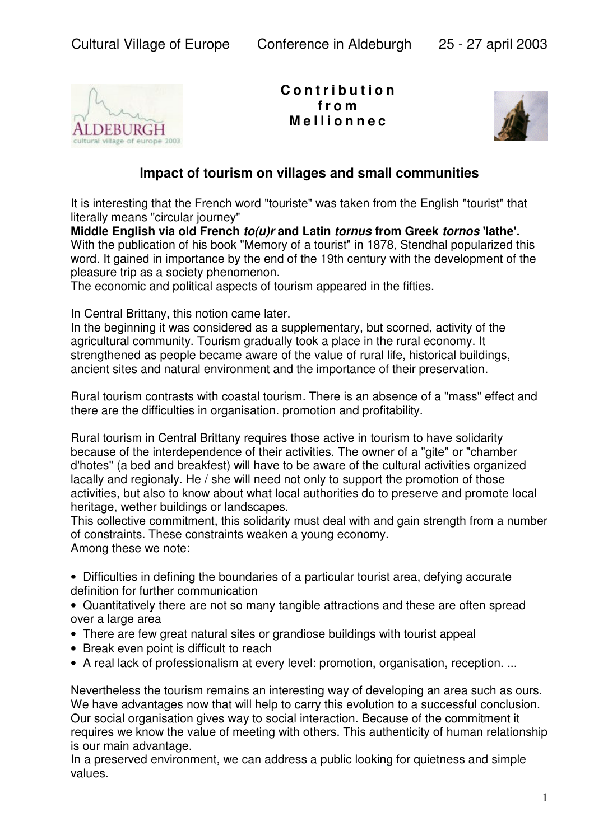

**C o n t r i b u t i o n f r o m M e lli onn e c**



## **lmpact of tourism on villages and small communities**

It is interesting that the French word "touriste" was taken from the English "tourist" that literally means "circular journey"

**Middle English via old French** *to(u)r* **and Latin** *tornus* **from Greek** *tornos* **'lathe'.** With the publication of his book "Memory of a tourist" in 1878, Stendhal popularized this word. It gained in importance by the end of the 19th century with the development of the pleasure trip as a society phenomenon.

The economic and political aspects of tourism appeared in the fifties.

In Central Brittany, this notion came later.

In the beginning it was considered as a supplementary, but scorned, activity of the agricultural community. Tourism gradually took a place in the rural economy. It strengthened as people became aware of the value of rural life, historical buildings, ancient sites and natural environment and the importance of their preservation.

Rural tourism contrasts with coastal tourism. There is an absence of a "mass" effect and there are the difficulties in organisation. promotion and profitability.

Rural tourism in Central Brittany requires those active in tourism to have solidarity because of the interdependence of their activities. The owner of a "gite" or "chamber d'hotes" (a bed and breakfest) will have to be aware of the cultural activities organized lacally and regionaly. He / she will need not only to support the promotion of those activities, but also to know about what local authorities do to preserve and promote local heritage, wether buildings or landscapes.

This collective commitment, this solidarity must deal with and gain strength from a number of constraints. These constraints weaken a young economy. Among these we note:

• Difficulties in defining the boundaries of a particular tourist area, defying accurate definition for further communication

• Quantitatively there are not so many tangible attractions and these are often spread over a large area

- There are few great natural sites or grandiose buildings with tourist appeal
- Break even point is difficult to reach
- A real lack of professionalism at every level: promotion, organisation, reception. ...

Nevertheless the tourism remains an interesting way of developing an area such as ours. We have advantages now that will help to carry this evolution to a successful conclusion. Our social organisation gives way to social interaction. Because of the commitment it requires we know the value of meeting with others. This authenticity of human relationship is our main advantage.

In a preserved environment, we can address a public looking for quietness and simple values.